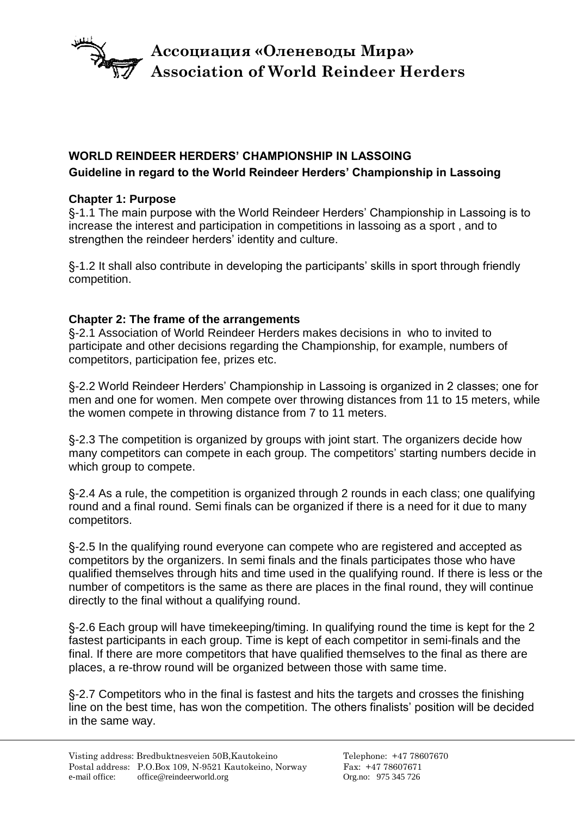

# **Association of World Reindeer Herders Ассоциация «Оленеводы Мира»**

## **WORLD REINDEER HERDERS' CHAMPIONSHIP IN LASSOING Guideline in regard to the World Reindeer Herders' Championship in Lassoing**

### **Chapter 1: Purpose**

§-1.1 The main purpose with the World Reindeer Herders' Championship in Lassoing is to increase the interest and participation in competitions in lassoing as a sport , and to strengthen the reindeer herders' identity and culture.

§-1.2 It shall also contribute in developing the participants' skills in sport through friendly competition.

### **Chapter 2: The frame of the arrangements**

§-2.1 Association of World Reindeer Herders makes decisions in who to invited to participate and other decisions regarding the Championship, for example, numbers of competitors, participation fee, prizes etc.

§-2.2 World Reindeer Herders' Championship in Lassoing is organized in 2 classes; one for men and one for women. Men compete over throwing distances from 11 to 15 meters, while the women compete in throwing distance from 7 to 11 meters.

§-2.3 The competition is organized by groups with joint start. The organizers decide how many competitors can compete in each group. The competitors' starting numbers decide in which group to compete.

§-2.4 As a rule, the competition is organized through 2 rounds in each class; one qualifying round and a final round. Semi finals can be organized if there is a need for it due to many competitors.

§-2.5 In the qualifying round everyone can compete who are registered and accepted as competitors by the organizers. In semi finals and the finals participates those who have qualified themselves through hits and time used in the qualifying round. If there is less or the number of competitors is the same as there are places in the final round, they will continue directly to the final without a qualifying round.

§-2.6 Each group will have timekeeping/timing. In qualifying round the time is kept for the 2 fastest participants in each group. Time is kept of each competitor in semi-finals and the final. If there are more competitors that have qualified themselves to the final as there are places, a re-throw round will be organized between those with same time.

§-2.7 Competitors who in the final is fastest and hits the targets and crosses the finishing line on the best time, has won the competition. The others finalists' position will be decided in the same way.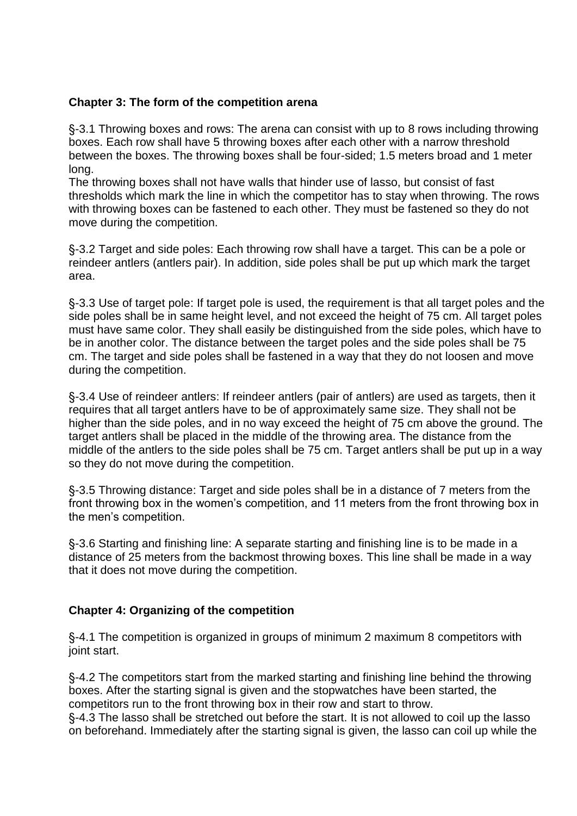#### **Chapter 3: The form of the competition arena**

§-3.1 Throwing boxes and rows: The arena can consist with up to 8 rows including throwing boxes. Each row shall have 5 throwing boxes after each other with a narrow threshold between the boxes. The throwing boxes shall be four-sided; 1.5 meters broad and 1 meter long.

The throwing boxes shall not have walls that hinder use of lasso, but consist of fast thresholds which mark the line in which the competitor has to stay when throwing. The rows with throwing boxes can be fastened to each other. They must be fastened so they do not move during the competition.

§-3.2 Target and side poles: Each throwing row shall have a target. This can be a pole or reindeer antlers (antlers pair). In addition, side poles shall be put up which mark the target area.

§-3.3 Use of target pole: If target pole is used, the requirement is that all target poles and the side poles shall be in same height level, and not exceed the height of 75 cm. All target poles must have same color. They shall easily be distinguished from the side poles, which have to be in another color. The distance between the target poles and the side poles shall be 75 cm. The target and side poles shall be fastened in a way that they do not loosen and move during the competition.

§-3.4 Use of reindeer antlers: If reindeer antlers (pair of antlers) are used as targets, then it requires that all target antlers have to be of approximately same size. They shall not be higher than the side poles, and in no way exceed the height of 75 cm above the ground. The target antlers shall be placed in the middle of the throwing area. The distance from the middle of the antlers to the side poles shall be 75 cm. Target antlers shall be put up in a way so they do not move during the competition.

§-3.5 Throwing distance: Target and side poles shall be in a distance of 7 meters from the front throwing box in the women's competition, and 11 meters from the front throwing box in the men's competition.

§-3.6 Starting and finishing line: A separate starting and finishing line is to be made in a distance of 25 meters from the backmost throwing boxes. This line shall be made in a way that it does not move during the competition.

#### **Chapter 4: Organizing of the competition**

§-4.1 The competition is organized in groups of minimum 2 maximum 8 competitors with joint start.

§-4.2 The competitors start from the marked starting and finishing line behind the throwing boxes. After the starting signal is given and the stopwatches have been started, the competitors run to the front throwing box in their row and start to throw.

§-4.3 The lasso shall be stretched out before the start. It is not allowed to coil up the lasso on beforehand. Immediately after the starting signal is given, the lasso can coil up while the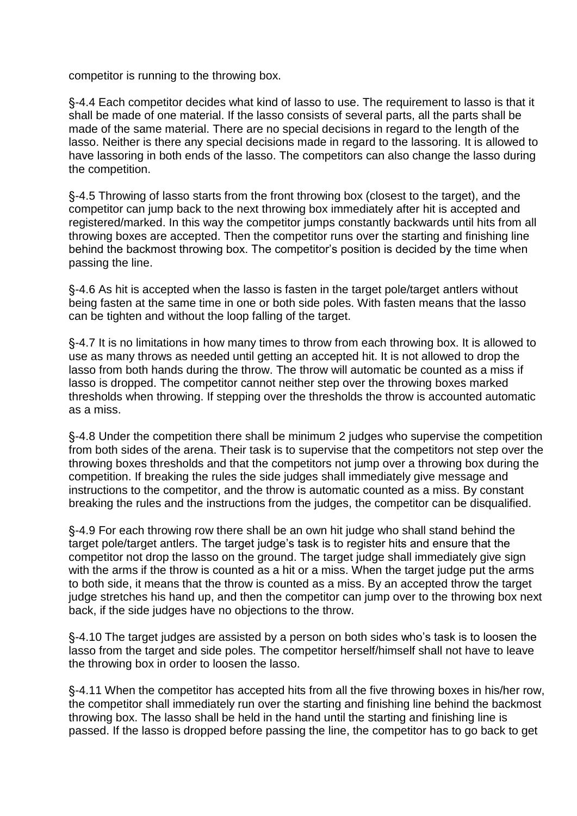competitor is running to the throwing box.

§-4.4 Each competitor decides what kind of lasso to use. The requirement to lasso is that it shall be made of one material. If the lasso consists of several parts, all the parts shall be made of the same material. There are no special decisions in regard to the length of the lasso. Neither is there any special decisions made in regard to the lassoring. It is allowed to have lassoring in both ends of the lasso. The competitors can also change the lasso during the competition.

§-4.5 Throwing of lasso starts from the front throwing box (closest to the target), and the competitor can jump back to the next throwing box immediately after hit is accepted and registered/marked. In this way the competitor jumps constantly backwards until hits from all throwing boxes are accepted. Then the competitor runs over the starting and finishing line behind the backmost throwing box. The competitor's position is decided by the time when passing the line.

§-4.6 As hit is accepted when the lasso is fasten in the target pole/target antlers without being fasten at the same time in one or both side poles. With fasten means that the lasso can be tighten and without the loop falling of the target.

§-4.7 It is no limitations in how many times to throw from each throwing box. It is allowed to use as many throws as needed until getting an accepted hit. It is not allowed to drop the lasso from both hands during the throw. The throw will automatic be counted as a miss if lasso is dropped. The competitor cannot neither step over the throwing boxes marked thresholds when throwing. If stepping over the thresholds the throw is accounted automatic as a miss.

§-4.8 Under the competition there shall be minimum 2 judges who supervise the competition from both sides of the arena. Their task is to supervise that the competitors not step over the throwing boxes thresholds and that the competitors not jump over a throwing box during the competition. If breaking the rules the side judges shall immediately give message and instructions to the competitor, and the throw is automatic counted as a miss. By constant breaking the rules and the instructions from the judges, the competitor can be disqualified.

§-4.9 For each throwing row there shall be an own hit judge who shall stand behind the target pole/target antlers. The target judge's task is to register hits and ensure that the competitor not drop the lasso on the ground. The target judge shall immediately give sign with the arms if the throw is counted as a hit or a miss. When the target judge put the arms to both side, it means that the throw is counted as a miss. By an accepted throw the target judge stretches his hand up, and then the competitor can jump over to the throwing box next back, if the side judges have no objections to the throw.

§-4.10 The target judges are assisted by a person on both sides who's task is to loosen the lasso from the target and side poles. The competitor herself/himself shall not have to leave the throwing box in order to loosen the lasso.

§-4.11 When the competitor has accepted hits from all the five throwing boxes in his/her row, the competitor shall immediately run over the starting and finishing line behind the backmost throwing box. The lasso shall be held in the hand until the starting and finishing line is passed. If the lasso is dropped before passing the line, the competitor has to go back to get